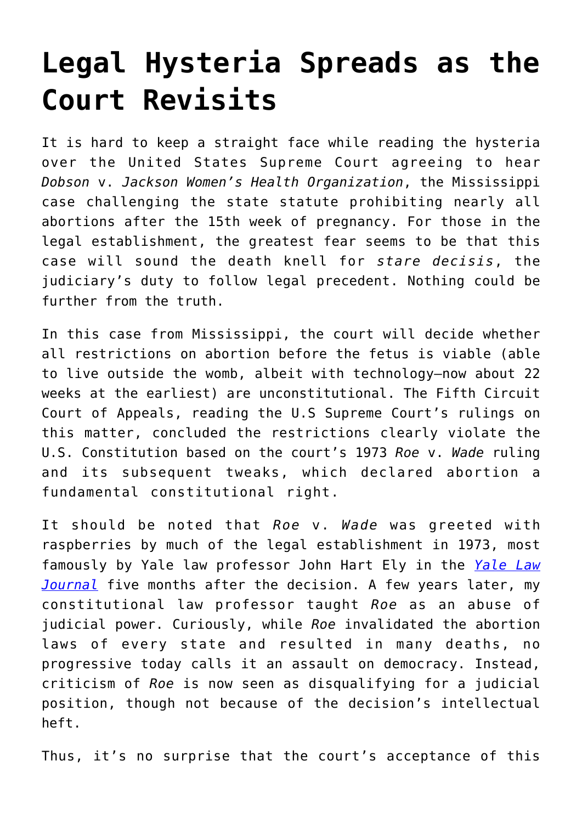## **[Legal Hysteria Spreads as the](https://intellectualtakeout.org/2021/06/legal-hysteria-spreads-as-the-court-revisits/) [Court Revisits](https://intellectualtakeout.org/2021/06/legal-hysteria-spreads-as-the-court-revisits/)**

It is hard to keep a straight face while reading the hysteria over the United States Supreme Court agreeing to hear *Dobson* v. *Jackson Women's Health Organization*, the Mississippi case challenging the state statute prohibiting nearly all abortions after the 15th week of pregnancy. For those in the legal establishment, the greatest fear seems to be that this case will sound the death knell for *stare decisis*, the judiciary's duty to follow legal precedent. Nothing could be further from the truth.

In this case from Mississippi, the court will decide whether all restrictions on abortion before the fetus is viable (able to live outside the womb, albeit with technology—now about 22 weeks at the earliest) are unconstitutional. The Fifth Circuit Court of Appeals, reading the U.S Supreme Court's rulings on this matter, concluded the restrictions clearly violate the U.S. Constitution based on the court's 1973 *Roe* v. *Wade* ruling and its subsequent tweaks, which declared abortion a fundamental constitutional right.

It should be noted that *Roe* v. *Wade* was greeted with raspberries by much of the legal establishment in 1973, most famously by Yale law professor John Hart Ely in the *[Yale Law](https://digitalcommons.law.yale.edu/cgi/viewcontent.cgi?article=6179&context=ylj) [Journal](https://digitalcommons.law.yale.edu/cgi/viewcontent.cgi?article=6179&context=ylj)* five months after the decision. A few years later, my constitutional law professor taught *Roe* as an abuse of judicial power. Curiously, while *Roe* invalidated the abortion laws of every state and resulted in many deaths, no progressive today calls it an assault on democracy. Instead, criticism of *Roe* is now seen as disqualifying for a judicial position, though not because of the decision's intellectual heft.

Thus, it's no surprise that the court's acceptance of this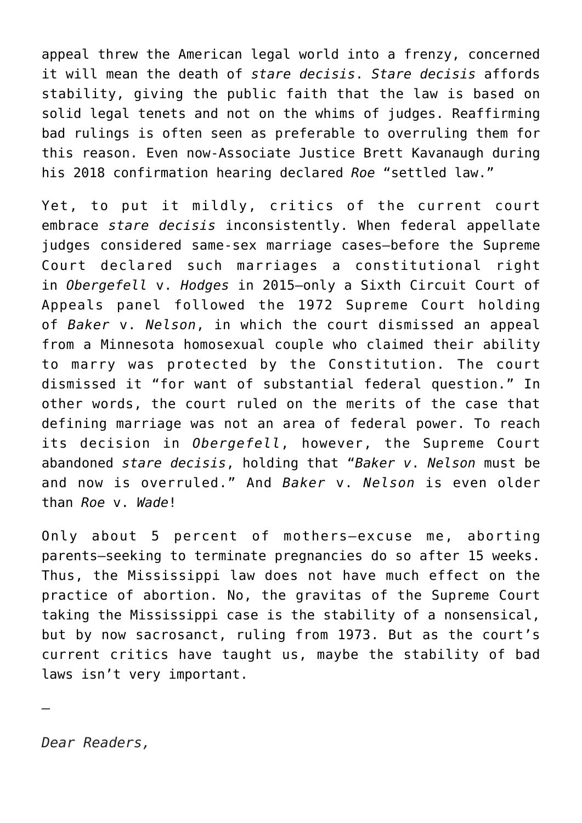appeal threw the American legal world into a frenzy, concerned it will mean the death of *stare decisis*. *Stare decisis* affords stability, giving the public faith that the law is based on solid legal tenets and not on the whims of judges. Reaffirming bad rulings is often seen as preferable to overruling them for this reason. Even now-Associate Justice Brett Kavanaugh during his 2018 confirmation hearing declared *Roe* "settled law."

Yet, to put it mildly, critics of the current court embrace *stare decisis* inconsistently. When federal appellate judges considered same-sex marriage cases—before the Supreme Court declared such marriages a constitutional right in *Obergefell* v. *Hodges* in 2015—only a Sixth Circuit Court of Appeals panel followed the 1972 Supreme Court holding of *Baker* v. *Nelson*, in which the court dismissed an appeal from a Minnesota homosexual couple who claimed their ability to marry was protected by the Constitution. The court dismissed it "for want of substantial federal question." In other words, the court ruled on the merits of the case that defining marriage was not an area of federal power. To reach its decision in *Obergefell*, however, the Supreme Court abandoned *stare decisis*, holding that "*Baker v*. *Nelson* must be and now is overruled." And *Baker* v. *Nelson* is even older than *Roe* v. *Wade*!

Only about 5 percent of mothers—excuse me, aborting parents—seeking to terminate pregnancies do so after 15 weeks. Thus, the Mississippi law does not have much effect on the practice of abortion. No, the gravitas of the Supreme Court taking the Mississippi case is the stability of a nonsensical, but by now sacrosanct, ruling from 1973. But as the court's current critics have taught us, maybe the stability of bad laws isn't very important.

—